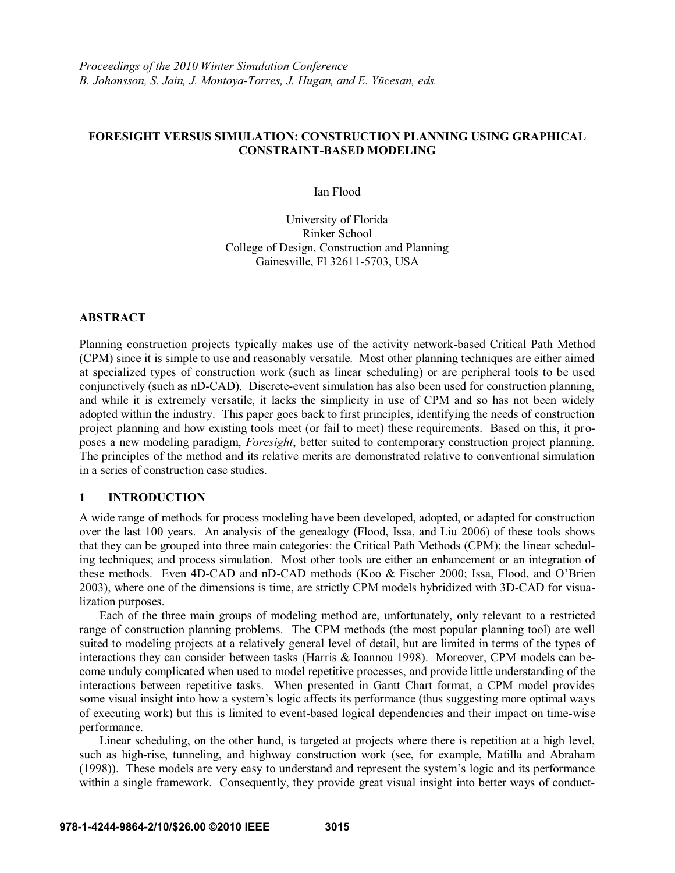# **FORESIGHT VERSUS SIMULATION: CONSTRUCTION PLANNING USING GRAPHICAL CONSTRAINT-BASED MODELING**

Ian Flood

University of Florida Rinker School College of Design, Construction and Planning Gainesville, Fl 32611-5703, USA

### **ABSTRACT**

Planning construction projects typically makes use of the activity network-based Critical Path Method (CPM) since it is simple to use and reasonably versatile. Most other planning techniques are either aimed at specialized types of construction work (such as linear scheduling) or are peripheral tools to be used conjunctively (such as nD-CAD). Discrete-event simulation has also been used for construction planning, and while it is extremely versatile, it lacks the simplicity in use of CPM and so has not been widely adopted within the industry. This paper goes back to first principles, identifying the needs of construction project planning and how existing tools meet (or fail to meet) these requirements. Based on this, it proposes a new modeling paradigm, *Foresight*, better suited to contemporary construction project planning. The principles of the method and its relative merits are demonstrated relative to conventional simulation in a series of construction case studies.

### **1 INTRODUCTION**

A wide range of methods for process modeling have been developed, adopted, or adapted for construction over the last 100 years. An analysis of the genealogy (Flood, Issa, and Liu 2006) of these tools shows that they can be grouped into three main categories: the Critical Path Methods (CPM); the linear scheduling techniques; and process simulation. Most other tools are either an enhancement or an integration of these methods. Even 4D-CAD and nD-CAD methods (Koo & Fischer 2000; Issa, Flood, and O'Brien 2003), where one of the dimensions is time, are strictly CPM models hybridized with 3D-CAD for visualization purposes.

 Each of the three main groups of modeling method are, unfortunately, only relevant to a restricted range of construction planning problems. The CPM methods (the most popular planning tool) are well suited to modeling projects at a relatively general level of detail, but are limited in terms of the types of interactions they can consider between tasks (Harris & Ioannou 1998). Moreover, CPM models can become unduly complicated when used to model repetitive processes, and provide little understanding of the interactions between repetitive tasks. When presented in Gantt Chart format, a CPM model provides some visual insight into how a system's logic affects its performance (thus suggesting more optimal ways of executing work) but this is limited to event-based logical dependencies and their impact on time-wise performance.

 Linear scheduling, on the other hand, is targeted at projects where there is repetition at a high level, such as high-rise, tunneling, and highway construction work (see, for example, Matilla and Abraham (1998)). These models are very easy to understand and represent the system's logic and its performance within a single framework. Consequently, they provide great visual insight into better ways of conduct-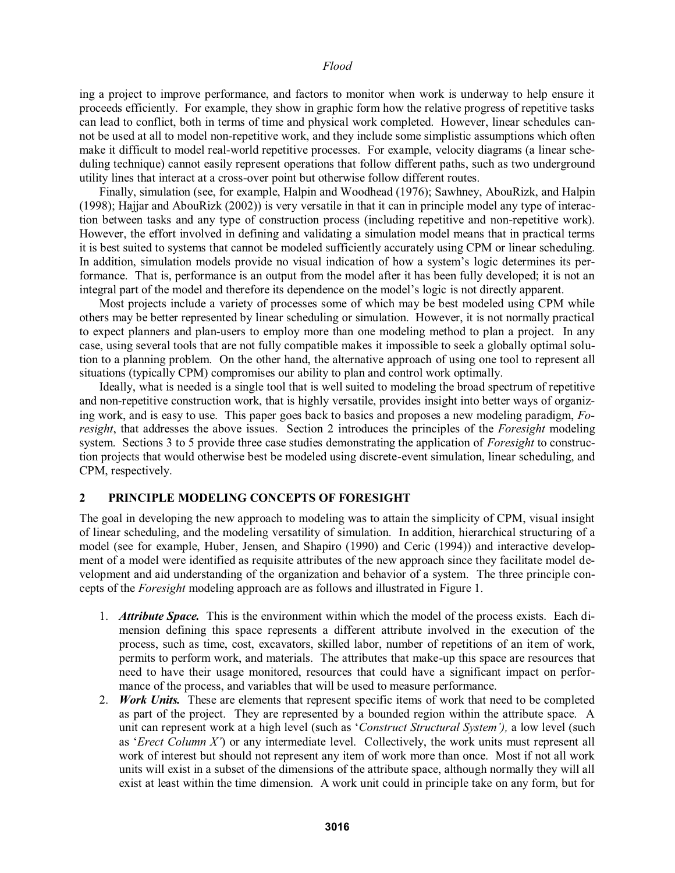ing a project to improve performance, and factors to monitor when work is underway to help ensure it proceeds efficiently. For example, they show in graphic form how the relative progress of repetitive tasks can lead to conflict, both in terms of time and physical work completed. However, linear schedules cannot be used at all to model non-repetitive work, and they include some simplistic assumptions which often make it difficult to model real-world repetitive processes. For example, velocity diagrams (a linear scheduling technique) cannot easily represent operations that follow different paths, such as two underground utility lines that interact at a cross-over point but otherwise follow different routes.

 Finally, simulation (see, for example, Halpin and Woodhead (1976); Sawhney, AbouRizk, and Halpin (1998); Hajjar and AbouRizk (2002)) is very versatile in that it can in principle model any type of interaction between tasks and any type of construction process (including repetitive and non-repetitive work). However, the effort involved in defining and validating a simulation model means that in practical terms it is best suited to systems that cannot be modeled sufficiently accurately using CPM or linear scheduling. In addition, simulation models provide no visual indication of how a system's logic determines its performance. That is, performance is an output from the model after it has been fully developed; it is not an integral part of the model and therefore its dependence on the model's logic is not directly apparent.

 Most projects include a variety of processes some of which may be best modeled using CPM while others may be better represented by linear scheduling or simulation. However, it is not normally practical to expect planners and plan-users to employ more than one modeling method to plan a project. In any case, using several tools that are not fully compatible makes it impossible to seek a globally optimal solution to a planning problem. On the other hand, the alternative approach of using one tool to represent all situations (typically CPM) compromises our ability to plan and control work optimally.

 Ideally, what is needed is a single tool that is well suited to modeling the broad spectrum of repetitive and non-repetitive construction work, that is highly versatile, provides insight into better ways of organizing work, and is easy to use. This paper goes back to basics and proposes a new modeling paradigm, *Foresight*, that addresses the above issues. Section 2 introduces the principles of the *Foresight* modeling system. Sections 3 to 5 provide three case studies demonstrating the application of *Foresight* to construction projects that would otherwise best be modeled using discrete-event simulation, linear scheduling, and CPM, respectively.

# **2 PRINCIPLE MODELING CONCEPTS OF FORESIGHT**

The goal in developing the new approach to modeling was to attain the simplicity of CPM, visual insight of linear scheduling, and the modeling versatility of simulation. In addition, hierarchical structuring of a model (see for example, Huber, Jensen, and Shapiro (1990) and Ceric (1994)) and interactive development of a model were identified as requisite attributes of the new approach since they facilitate model development and aid understanding of the organization and behavior of a system. The three principle concepts of the *Foresight* modeling approach are as follows and illustrated in Figure 1.

- 1. *Attribute Space.* This is the environment within which the model of the process exists. Each dimension defining this space represents a different attribute involved in the execution of the process, such as time, cost, excavators, skilled labor, number of repetitions of an item of work, permits to perform work, and materials. The attributes that make-up this space are resources that need to have their usage monitored, resources that could have a significant impact on performance of the process, and variables that will be used to measure performance.
- 2. *Work Units.* These are elements that represent specific items of work that need to be completed as part of the project. They are represented by a bounded region within the attribute space. A unit can represent work at a high level (such as 'Construct Structural System'), a low level (such as '*Erect Column X'*) or any intermediate level. Collectively, the work units must represent all work of interest but should not represent any item of work more than once. Most if not all work units will exist in a subset of the dimensions of the attribute space, although normally they will all exist at least within the time dimension. A work unit could in principle take on any form, but for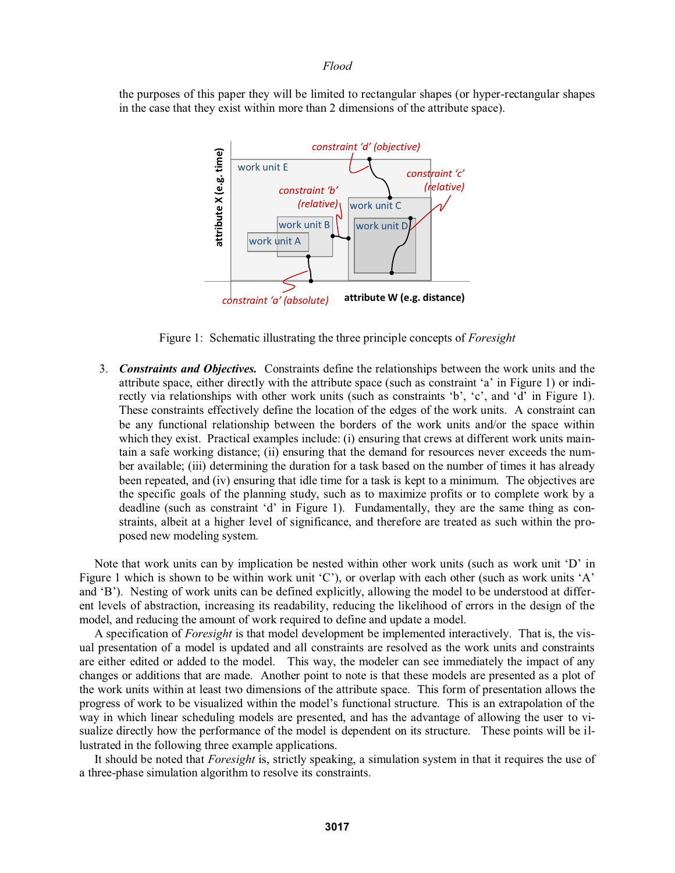the purposes of this paper they will be limited to rectangular shapes (or hyper-rectangular shapes in the case that they exist within more than 2 dimensions of the attribute space).



Figure 1: Schematic illustrating the three principle concepts of *Foresight*

3. *Constraints and Objectives.* Constraints define the relationships between the work units and the attribute space, either directly with the attribute space (such as constraint 'a' in Figure 1) or indirectly via relationships with other work units (such as constraints 'b', 'c', and 'd' in Figure 1). These constraints effectively define the location of the edges of the work units. A constraint can be any functional relationship between the borders of the work units and/or the space within which they exist. Practical examples include: (i) ensuring that crews at different work units maintain a safe working distance; (ii) ensuring that the demand for resources never exceeds the number available; (iii) determining the duration for a task based on the number of times it has already been repeated, and (iv) ensuring that idle time for a task is kept to a minimum. The objectives are the specific goals of the planning study, such as to maximize profits or to complete work by a deadline (such as constraint 'd' in Figure 1). Fundamentally, they are the same thing as constraints, albeit at a higher level of significance, and therefore are treated as such within the proposed new modeling system.

Note that work units can by implication be nested within other work units (such as work unit 'D' in Figure 1 which is shown to be within work unit 'C'), or overlap with each other (such as work units 'A' and 'B'). Nesting of work units can be defined explicitly, allowing the model to be understood at different levels of abstraction, increasing its readability, reducing the likelihood of errors in the design of the model, and reducing the amount of work required to define and update a model.

A specification of *Foresight* is that model development be implemented interactively. That is, the visual presentation of a model is updated and all constraints are resolved as the work units and constraints are either edited or added to the model. This way, the modeler can see immediately the impact of any changes or additions that are made. Another point to note is that these models are presented as a plot of the work units within at least two dimensions of the attribute space. This form of presentation allows the progress of work to be visualized within the model's functional structure. This is an extrapolation of the way in which linear scheduling models are presented, and has the advantage of allowing the user to visualize directly how the performance of the model is dependent on its structure. These points will be illustrated in the following three example applications.

It should be noted that *Foresight* is, strictly speaking, a simulation system in that it requires the use of a three-phase simulation algorithm to resolve its constraints.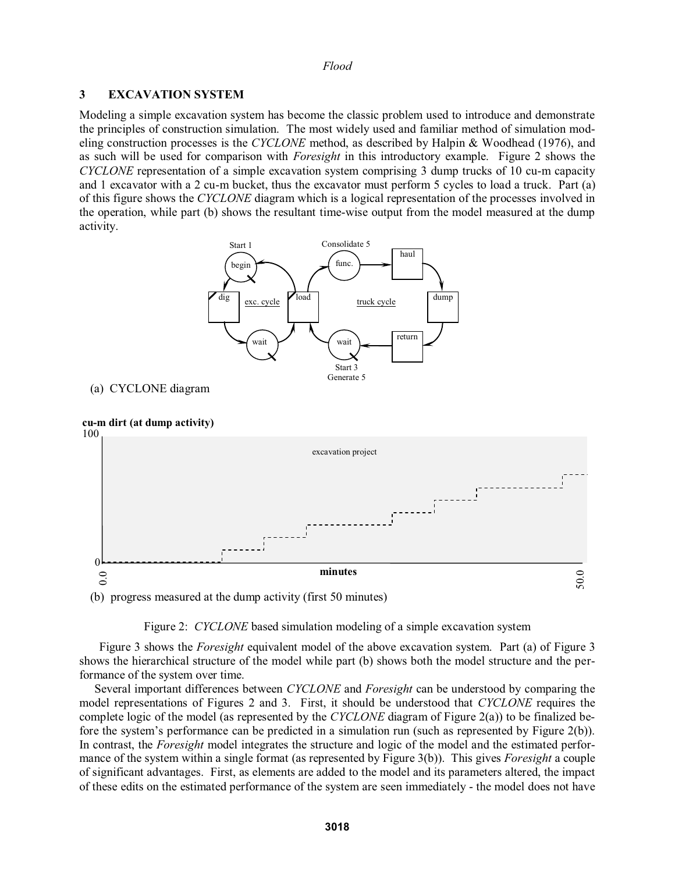## **3 EXCAVATION SYSTEM**

Modeling a simple excavation system has become the classic problem used to introduce and demonstrate the principles of construction simulation. The most widely used and familiar method of simulation modeling construction processes is the *CYCLONE* method, as described by Halpin & Woodhead (1976), and as such will be used for comparison with *Foresight* in this introductory example. Figure 2 shows the *CYCLONE* representation of a simple excavation system comprising 3 dump trucks of 10 cu-m capacity and 1 excavator with a 2 cu-m bucket, thus the excavator must perform 5 cycles to load a truck. Part (a) of this figure shows the *CYCLONE* diagram which is a logical representation of the processes involved in the operation, while part (b) shows the resultant time-wise output from the model measured at the dump activity.



Figure 2: *CYCLONE* based simulation modeling of a simple excavation system

 Figure 3 shows the *Foresight* equivalent model of the above excavation system. Part (a) of Figure 3 shows the hierarchical structure of the model while part (b) shows both the model structure and the performance of the system over time.

Several important differences between *CYCLONE* and *Foresight* can be understood by comparing the model representations of Figures 2 and 3. First, it should be understood that *CYCLONE* requires the complete logic of the model (as represented by the *CYCLONE* diagram of Figure 2(a)) to be finalized before the system's performance can be predicted in a simulation run (such as represented by Figure  $2(b)$ ). In contrast, the *Foresight* model integrates the structure and logic of the model and the estimated performance of the system within a single format (as represented by Figure 3(b)). This gives *Foresight* a couple of significant advantages. First, as elements are added to the model and its parameters altered, the impact of these edits on the estimated performance of the system are seen immediately - the model does not have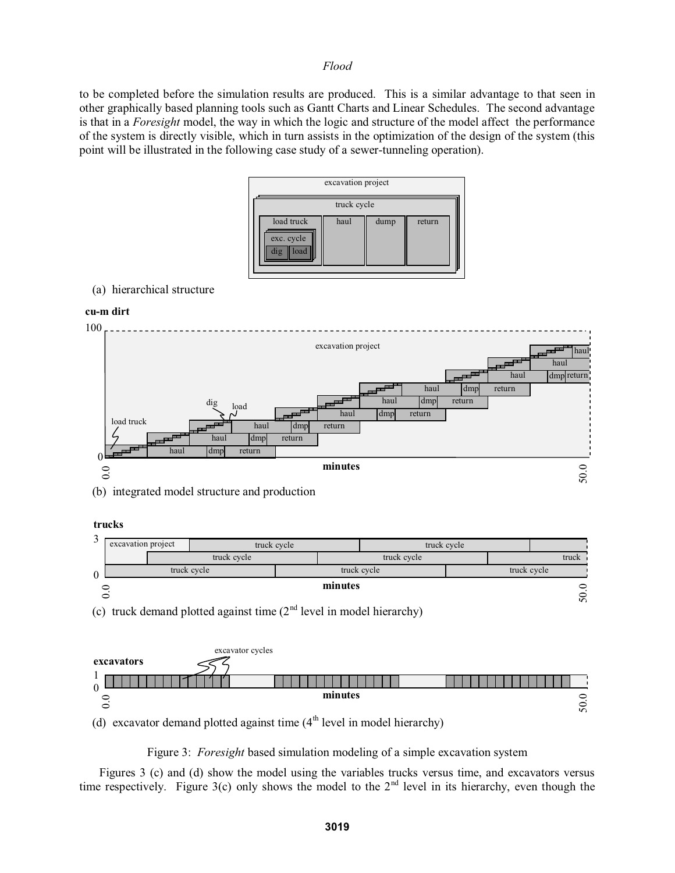to be completed before the simulation results are produced. This is a similar advantage to that seen in other graphically based planning tools such as Gantt Charts and Linear Schedules. The second advantage is that in a *Foresight* model, the way in which the logic and structure of the model affect the performance of the system is directly visible, which in turn assists in the optimization of the design of the system (this point will be illustrated in the following case study of a sewer-tunneling operation).



(a) hierarchical structure

#### **cu-m dirt**



(b) integrated model structure and production





(c) truck demand plotted against time  $(2<sup>nd</sup>$  level in model hierarchy)



(d) excavator demand plotted against time  $(4<sup>th</sup>$  level in model hierarchy)

Figure 3: *Foresight* based simulation modeling of a simple excavation system

 Figures 3 (c) and (d) show the model using the variables trucks versus time, and excavators versus time respectively. Figure 3(c) only shows the model to the  $2<sup>nd</sup>$  level in its hierarchy, even though the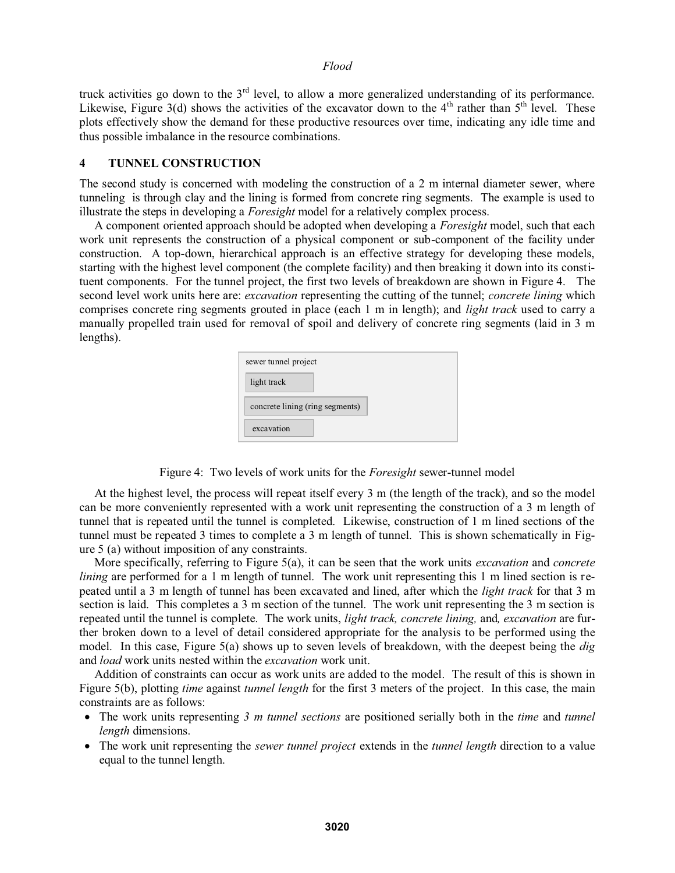truck activities go down to the 3<sup>rd</sup> level, to allow a more generalized understanding of its performance. Likewise, Figure 3(d) shows the activities of the excavator down to the  $4<sup>th</sup>$  rather than  $5<sup>th</sup>$  level. These plots effectively show the demand for these productive resources over time, indicating any idle time and thus possible imbalance in the resource combinations.

## **4 TUNNEL CONSTRUCTION**

The second study is concerned with modeling the construction of a 2 m internal diameter sewer, where tunneling is through clay and the lining is formed from concrete ring segments. The example is used to illustrate the steps in developing a *Foresight* model for a relatively complex process.

A component oriented approach should be adopted when developing a *Foresight* model, such that each work unit represents the construction of a physical component or sub-component of the facility under construction. A top-down, hierarchical approach is an effective strategy for developing these models, starting with the highest level component (the complete facility) and then breaking it down into its constituent components. For the tunnel project, the first two levels of breakdown are shown in Figure 4. The second level work units here are: *excavation* representing the cutting of the tunnel; *concrete lining* which comprises concrete ring segments grouted in place (each 1 m in length); and *light track* used to carry a manually propelled train used for removal of spoil and delivery of concrete ring segments (laid in 3 m lengths).

| sewer tunnel project            |  |
|---------------------------------|--|
| light track                     |  |
| concrete lining (ring segments) |  |
| excavation                      |  |

Figure 4: Two levels of work units for the *Foresight* sewer-tunnel model

At the highest level, the process will repeat itself every 3 m (the length of the track), and so the model can be more conveniently represented with a work unit representing the construction of a 3 m length of tunnel that is repeated until the tunnel is completed. Likewise, construction of 1 m lined sections of the tunnel must be repeated 3 times to complete a 3 m length of tunnel. This is shown schematically in Figure 5 (a) without imposition of any constraints.

More specifically, referring to Figure 5(a), it can be seen that the work units *excavation* and *concrete lining* are performed for a 1 m length of tunnel. The work unit representing this 1 m lined section is repeated until a 3 m length of tunnel has been excavated and lined, after which the *light track* for that 3 m section is laid. This completes a 3 m section of the tunnel. The work unit representing the 3 m section is repeated until the tunnel is complete. The work units, *light track, concrete lining,* and*, excavation* are further broken down to a level of detail considered appropriate for the analysis to be performed using the model. In this case, Figure 5(a) shows up to seven levels of breakdown, with the deepest being the *dig* and *load* work units nested within the *excavation* work unit.

Addition of constraints can occur as work units are added to the model. The result of this is shown in Figure 5(b), plotting *time* against *tunnel length* for the first 3 meters of the project. In this case, the main constraints are as follows:

- The work units representing *3 m tunnel sections* are positioned serially both in the *time* and *tunnel length* dimensions.
- The work unit representing the *sewer tunnel project* extends in the *tunnel length* direction to a value equal to the tunnel length.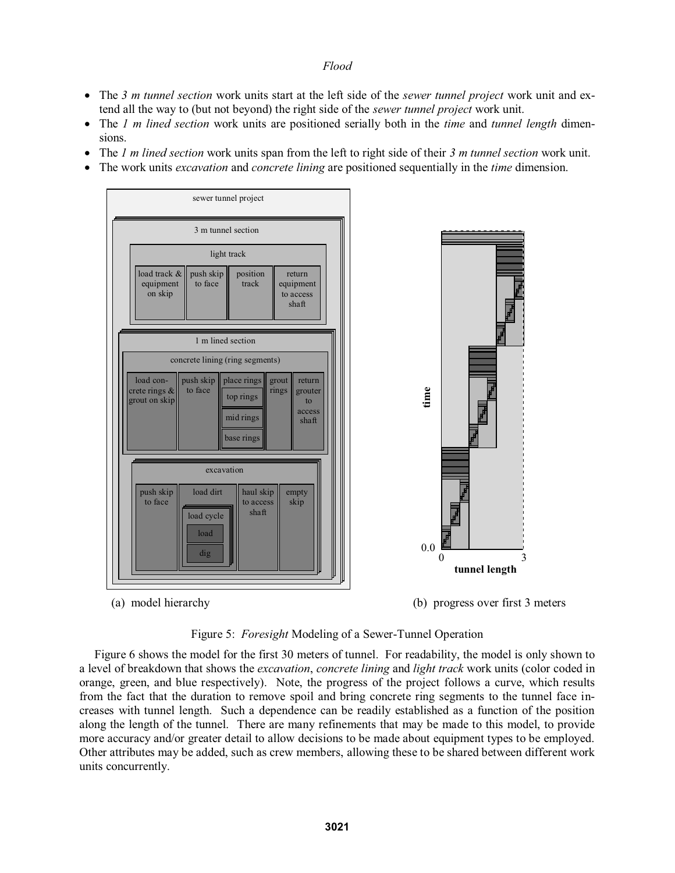- The *3 m tunnel section* work units start at the left side of the *sewer tunnel project* work unit and extend all the way to (but not beyond) the right side of the *sewer tunnel project* work unit.
- The *1 m lined section* work units are positioned serially both in the *time* and *tunnel length* dimensions.
- $\bullet$ The *1 m lined section* work units span from the left to right side of their *3 m tunnel section* work unit.
- The work units *excavation* and *concrete lining* are positioned sequentially in the *time* dimension.



Figure 5: *Foresight* Modeling of a Sewer-Tunnel Operation

Figure 6 shows the model for the first 30 meters of tunnel. For readability, the model is only shown to a level of breakdown that shows the *excavation*, *concrete lining* and *light track* work units (color coded in orange, green, and blue respectively). Note, the progress of the project follows a curve, which results from the fact that the duration to remove spoil and bring concrete ring segments to the tunnel face increases with tunnel length. Such a dependence can be readily established as a function of the position along the length of the tunnel. There are many refinements that may be made to this model, to provide more accuracy and/or greater detail to allow decisions to be made about equipment types to be employed. Other attributes may be added, such as crew members, allowing these to be shared between different work units concurrently.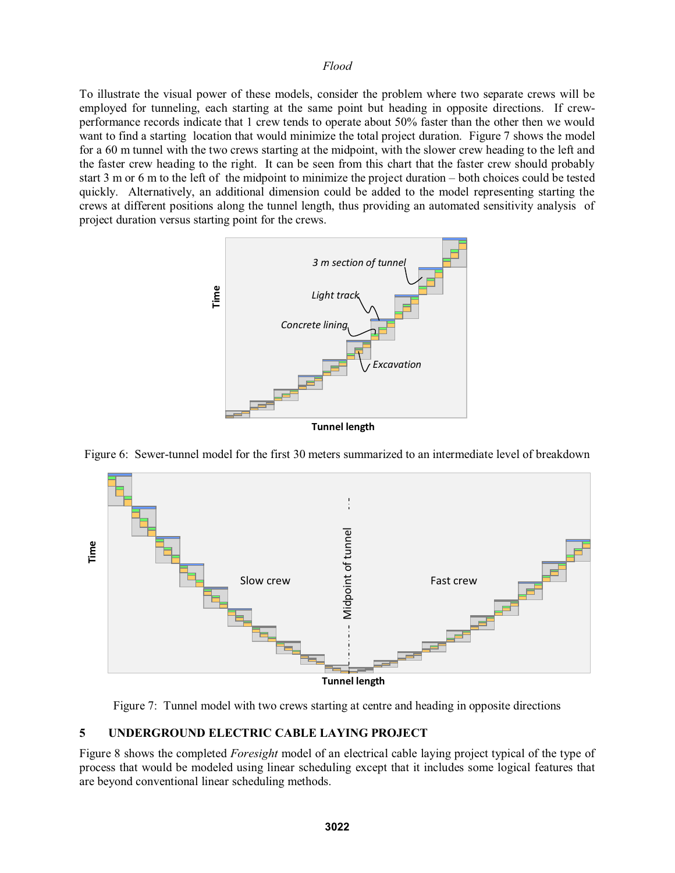To illustrate the visual power of these models, consider the problem where two separate crews will be employed for tunneling, each starting at the same point but heading in opposite directions. If crewperformance records indicate that 1 crew tends to operate about 50% faster than the other then we would want to find a starting location that would minimize the total project duration. Figure 7 shows the model for a 60 m tunnel with the two crews starting at the midpoint, with the slower crew heading to the left and the faster crew heading to the right. It can be seen from this chart that the faster crew should probably start 3 m or 6 m to the left of the midpoint to minimize the project duration = both choices could be tested quickly. Alternatively, an additional dimension could be added to the model representing starting the crews at different positions along the tunnel length, thus providing an automated sensitivity analysis of project duration versus starting point for the crews.



**Tunnel length** 

Figure 6: Sewer-tunnel model for the first 30 meters summarized to an intermediate level of breakdown



Figure 7: Tunnel model with two crews starting at centre and heading in opposite directions

# **5 UNDERGROUND ELECTRIC CABLE LAYING PROJECT**

Figure 8 shows the completed *Foresight* model of an electrical cable laying project typical of the type of process that would be modeled using linear scheduling except that it includes some logical features that are beyond conventional linear scheduling methods.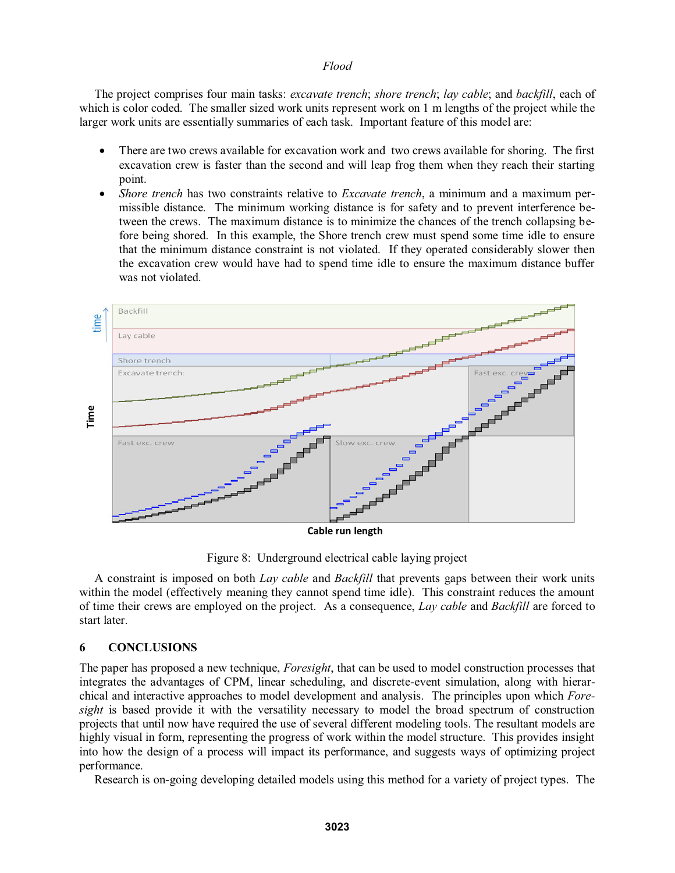The project comprises four main tasks: *excavate trench*; *shore trench*; *lay cable*; and *backfill*, each of which is color coded. The smaller sized work units represent work on 1 m lengths of the project while the larger work units are essentially summaries of each task. Important feature of this model are:

- $\bullet$  There are two crews available for excavation work and two crews available for shoring. The first excavation crew is faster than the second and will leap frog them when they reach their starting point.
- $\bullet$  *Shore trench* has two constraints relative to *Excavate trench*, a minimum and a maximum permissible distance. The minimum working distance is for safety and to prevent interference between the crews. The maximum distance is to minimize the chances of the trench collapsing before being shored. In this example, the Shore trench crew must spend some time idle to ensure that the minimum distance constraint is not violated. If they operated considerably slower then the excavation crew would have had to spend time idle to ensure the maximum distance buffer was not violated.



**Cable run length** 

Figure 8: Underground electrical cable laying project

A constraint is imposed on both *Lay cable* and *Backfill* that prevents gaps between their work units within the model (effectively meaning they cannot spend time idle). This constraint reduces the amount of time their crews are employed on the project. As a consequence, *Lay cable* and *Backfill* are forced to start later.

## **6 CONCLUSIONS**

The paper has proposed a new technique, *Foresight*, that can be used to model construction processes that integrates the advantages of CPM, linear scheduling, and discrete-event simulation, along with hierarchical and interactive approaches to model development and analysis. The principles upon which *Foresight* is based provide it with the versatility necessary to model the broad spectrum of construction projects that until now have required the use of several different modeling tools. The resultant models are highly visual in form, representing the progress of work within the model structure. This provides insight into how the design of a process will impact its performance, and suggests ways of optimizing project performance.

Research is on-going developing detailed models using this method for a variety of project types. The